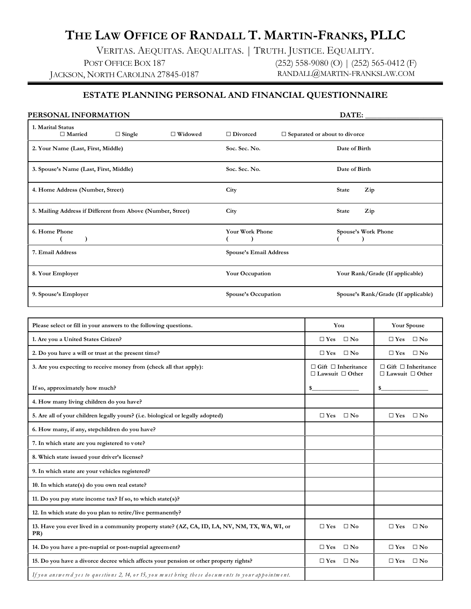# **THE LAW OFFICE OF RANDALL T. MARTIN-FRANKS, PLLC**

VERITAS. AEQUITAS. AEQUALITAS. | TRUTH. JUSTICE. EQUALITY. POST OFFICE BOX 187 JACKSON, NORTH CAROLINA 27845-0187 (252) 558-9080 (O) | (252) 565-0412 (F) RANDALL@MARTIN-FRANKSLAW.COM

# **ESTATE PLANNING PERSONAL AND FINANCIAL QUESTIONNAIRE**

| PERSONAL INFORMATION                                        |               |                |                        | DATE:                                |
|-------------------------------------------------------------|---------------|----------------|------------------------|--------------------------------------|
| 1. Marital Status<br>$\Box$ Married                         | $\Box$ Single | $\Box$ Widowed | $\Box$ Divorced        | $\Box$ Separated or about to divorce |
| 2. Your Name (Last, First, Middle)                          |               |                | Soc. Sec. No.          | Date of Birth                        |
| 3. Spouse's Name (Last, First, Middle)                      |               |                | Soc. Sec. No.          | Date of Birth                        |
| 4. Home Address (Number, Street)                            |               |                | City                   | <b>State</b><br>Zip                  |
| 5. Mailing Address if Different from Above (Number, Street) |               |                | City                   | <b>State</b><br>Zip                  |
| 6. Home Phone                                               |               |                | Your Work Phone        | Spouse's Work Phone                  |
| 7. Email Address                                            |               |                | Spouse's Email Address |                                      |
| 8. Your Employer                                            |               |                | <b>Your Occupation</b> | Your Rank/Grade (If applicable)      |
| 9. Spouse's Employer                                        |               |                | Spouse's Occupation    | Spouse's Rank/Grade (If applicable)  |

| Please select or fill in your answers to the following questions.                                     | You                                                           | <b>Your Spouse</b>                                            |
|-------------------------------------------------------------------------------------------------------|---------------------------------------------------------------|---------------------------------------------------------------|
| 1. Are you a United States Citizen?                                                                   | $\square$ No<br>$\square$ Yes                                 | $\square$ No<br>$\Box$ Yes                                    |
| 2. Do you have a will or trust at the present time?                                                   | $\Box$ No<br>$\Box$ Yes                                       | $\square$ No<br>$\Box$ Yes                                    |
| 3. Are you expecting to receive money from (check all that apply):                                    | $\Box$ Gift $\Box$ Inheritance<br>$\Box$ Lawsuit $\Box$ Other | $\Box$ Gift $\Box$ Inheritance<br>$\Box$ Lawsuit $\Box$ Other |
| If so, approximately how much?                                                                        | \$                                                            | \$                                                            |
| 4. How many living children do you have?                                                              |                                                               |                                                               |
| 5. Are all of your children legally yours? (i.e. biological or legally adopted)                       | $\square$ Yes<br>$\square$ No                                 | $\square$ Yes<br>$\square$ No                                 |
| 6. How many, if any, stepchildren do you have?                                                        |                                                               |                                                               |
| 7. In which state are you registered to vote?                                                         |                                                               |                                                               |
| 8. Which state issued your driver's license?                                                          |                                                               |                                                               |
| 9. In which state are your vehicles registered?                                                       |                                                               |                                                               |
| 10. In which state(s) do you own real estate?                                                         |                                                               |                                                               |
| 11. Do you pay state income tax? If so, to which state(s)?                                            |                                                               |                                                               |
| 12. In which state do you plan to retire/live permanently?                                            |                                                               |                                                               |
| 13. Have you ever lived in a community property state? (AZ, CA, ID, LA, NV, NM, TX, WA, WI, or<br>PR) | $\square$ Yes<br>$\square$ No                                 | $\square$ Yes<br>$\Box$ No                                    |
| 14. Do you have a pre-nuptial or post-nuptial agreement?                                              | $\square$ No<br>$\Box$ Yes                                    | $\square$ No<br>$\Box$ Yes                                    |
| 15. Do you have a divorce decree which affects your pension or other property rights?                 | $\square$ No<br>$\Box$ Yes                                    | $\square$ No<br>$\Box$ Yes                                    |
| If you answered yes to questions 2, 14, or 15, you must bring these documents to your appointment.    |                                                               |                                                               |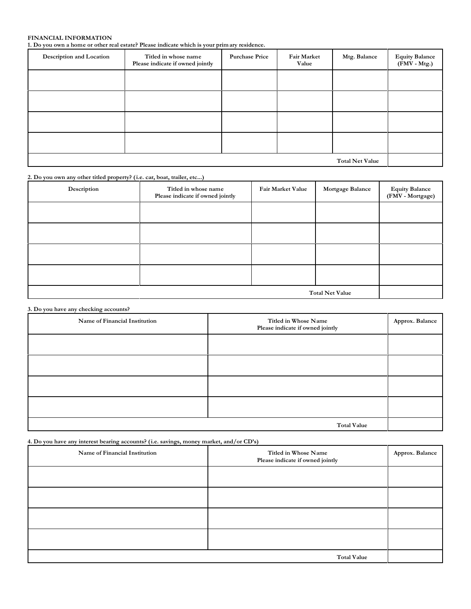# **FINANCIAL INFORMATION**

**1. Do you own a home or other real estate? Please indicate which is your prim ary residence.**

| <b>Description and Location</b> | Titled in whose name<br>Please indicate if owned jointly | <b>Purchase Price</b> | <b>Fair Market</b><br>Value | Mtg. Balance | Equity Balance<br>(FMV - Mtg.) |
|---------------------------------|----------------------------------------------------------|-----------------------|-----------------------------|--------------|--------------------------------|
|                                 |                                                          |                       |                             |              |                                |
|                                 |                                                          |                       |                             |              |                                |
|                                 |                                                          |                       |                             |              |                                |
|                                 |                                                          |                       |                             |              |                                |
| <b>Total Net Value</b>          |                                                          |                       |                             |              |                                |

| 2. Do you own any other titled property? (i.e. car, boat, trailer, etc) |                                                          |                   |                  |                                    |  |  |
|-------------------------------------------------------------------------|----------------------------------------------------------|-------------------|------------------|------------------------------------|--|--|
| Description                                                             | Titled in whose name<br>Please indicate if owned jointly | Fair Market Value | Mortgage Balance | Equity Balance<br>(FMV - Mortgage) |  |  |
|                                                                         |                                                          |                   |                  |                                    |  |  |
|                                                                         |                                                          |                   |                  |                                    |  |  |
|                                                                         |                                                          |                   |                  |                                    |  |  |
|                                                                         |                                                          |                   |                  |                                    |  |  |
| <b>Total Net Value</b>                                                  |                                                          |                   |                  |                                    |  |  |

|  |  |  |  |  |  | 3. Do you have any checking accounts? |
|--|--|--|--|--|--|---------------------------------------|
|--|--|--|--|--|--|---------------------------------------|

| Name of Financial Institution | Titled in Whose Name<br>Please indicate if owned jointly | Approx. Balance |  |
|-------------------------------|----------------------------------------------------------|-----------------|--|
|                               |                                                          |                 |  |
|                               |                                                          |                 |  |
|                               |                                                          |                 |  |
|                               |                                                          |                 |  |
| <b>Total Value</b>            |                                                          |                 |  |

**4. Do you have any interest bearing accounts? (i.e. savings, money market, and/or CD's)**

| Name of Financial Institution | Titled in Whose Name<br>Please indicate if owned jointly | Approx. Balance |
|-------------------------------|----------------------------------------------------------|-----------------|
|                               |                                                          |                 |
|                               |                                                          |                 |
|                               |                                                          |                 |
|                               |                                                          |                 |
|                               | <b>Total Value</b>                                       |                 |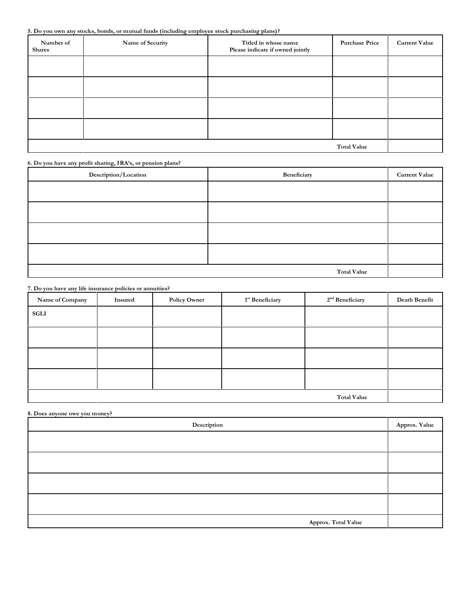**5. Do you own any stocks, bonds, or mutual funds (including employee stock purchasing plans)?**

| Number of<br><b>Shares</b> | Name of Security | Titled in whose name<br>Please indicate if owned jointly | <b>Purchase Price</b> | <b>Current Value</b> |
|----------------------------|------------------|----------------------------------------------------------|-----------------------|----------------------|
|                            |                  |                                                          |                       |                      |
|                            |                  |                                                          |                       |                      |
|                            |                  |                                                          |                       |                      |
|                            |                  |                                                          |                       |                      |
|                            |                  |                                                          | <b>Total Value</b>    |                      |

**6. Do you have any profit sharing, IRA's, or pension plans?**

| Description/Location | Beneficiary        | <b>Current Value</b> |
|----------------------|--------------------|----------------------|
|                      |                    |                      |
|                      |                    |                      |
|                      |                    |                      |
|                      |                    |                      |
|                      | <b>Total Value</b> |                      |

**7. Do you have any life insurance policies or annuities?**

| Name of Company | Insured            | <b>Policy Owner</b> | $1^{\rm st}$ Beneficiary | $2^{\rm nd}$ Beneficiary | Death Benefit |
|-----------------|--------------------|---------------------|--------------------------|--------------------------|---------------|
| <b>SGLI</b>     |                    |                     |                          |                          |               |
|                 |                    |                     |                          |                          |               |
|                 |                    |                     |                          |                          |               |
|                 |                    |                     |                          |                          |               |
|                 |                    |                     |                          |                          |               |
|                 |                    |                     |                          |                          |               |
|                 | <b>Total Value</b> |                     |                          |                          |               |

**8. Does anyone owe you money?**

| Description         | Approx. Value |
|---------------------|---------------|
|                     |               |
|                     |               |
|                     |               |
|                     |               |
| Approx. Total Value |               |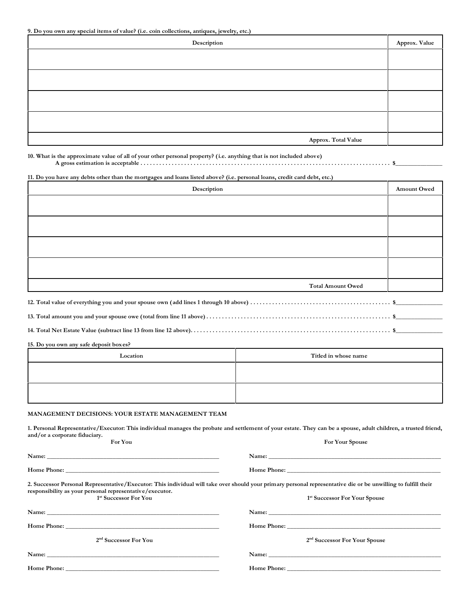| Description         | Approx. Value |
|---------------------|---------------|
|                     |               |
|                     |               |
|                     |               |
|                     |               |
| Approx. Total Value |               |

**10. What is the approximate value of all of your other personal property? (i.e. anything that is not included above) A gross estimation is acceptable . . . . . . . . . . . . . . . . . . . . . . . . . . . . . . . . . . . . . . . . . . . . . . . . . . . . . . . . . . . . . . . . . . . . . . . . . . . . . . . . \$\_\_\_\_\_\_\_\_\_\_\_\_\_\_\_**

**11. Do you have any debts other than the mortgages and loans listed above? (i.e. personal loans, credit card debt, etc.)**

| Description              | <b>Amount Owed</b> |
|--------------------------|--------------------|
|                          |                    |
|                          |                    |
|                          |                    |
|                          |                    |
| <b>Total Amount Owed</b> |                    |

**15. Do you own any safe deposit boxes?**

| Location | Titled in whose name |
|----------|----------------------|
|          |                      |
|          |                      |
|          |                      |

#### **MANAGEMENT DECISIONS: YOUR ESTATE MANAGEMENT TEAM**

**1. Personal Representative/Executor: This individual manages the probate and settlement of your estate. They can be a spouse, adult children, a trusted friend, and/or a corporate fiduciary. For You For Your Spouse**

| 2. Successor Personal Representative/Executor: This individual will take over should your primary personal representative die or be unwilling to fulfill their<br>responsibility as your personal representative/executor. |                                           |
|----------------------------------------------------------------------------------------------------------------------------------------------------------------------------------------------------------------------------|-------------------------------------------|
| <sup>1st</sup> Successor For You                                                                                                                                                                                           | <sup>1st</sup> Successor For Your Spouse  |
|                                                                                                                                                                                                                            |                                           |
|                                                                                                                                                                                                                            |                                           |
| 2 <sup>nd</sup> Successor For You                                                                                                                                                                                          | 2 <sup>nd</sup> Successor For Your Spouse |
|                                                                                                                                                                                                                            |                                           |
|                                                                                                                                                                                                                            |                                           |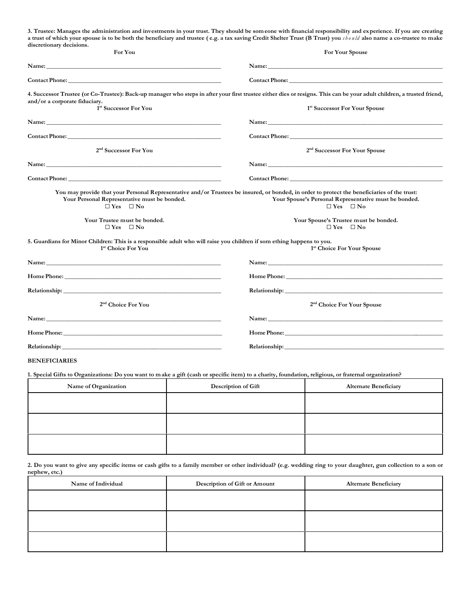**3. Trustee: Manages the administration and investments in your trust. They should be someone with financial responsibility and experience. If you are creating** a trust of which your spouse is to be both the beneficiary and trustee (e.g. a tax saving Credit Shelter Trust (B Trust) you should also name a co-trustee to make **discretionary decisions. For You For Your Spouse**

| For You                                                                                                                                                                                                                       | For Your Spouse                                                                                                                                                                                                                     |
|-------------------------------------------------------------------------------------------------------------------------------------------------------------------------------------------------------------------------------|-------------------------------------------------------------------------------------------------------------------------------------------------------------------------------------------------------------------------------------|
|                                                                                                                                                                                                                               |                                                                                                                                                                                                                                     |
| <b>Contact Phone:</b> The Contact Phone:                                                                                                                                                                                      | <b>Contact Phone:</b> The contract Phone: The contract Phone: The contract Phone: The contract Phone: The contract Phone: The contract Phone: The contract Phone: The contract Phone: The contract Phone: The contract Phone: The c |
| and/or a corporate fiduciary.<br>1 <sup>st</sup> Successor For You                                                                                                                                                            | 4. Successor Trustee (or Co-Trustee): Back-up manager who steps in after your first trustee either dies or resigns. This can be your adult children, a trusted friend,<br><sup>1st</sup> Successor For Your Spouse                  |
|                                                                                                                                                                                                                               |                                                                                                                                                                                                                                     |
| Name: Name: Name: Name: Name: Name: Name: Name: Name: Name: Name: Name: Name: Name: Name: Name: Name: Name: Name: Name: Name: Name: Name: Name: Name: Name: Name: Name: Name: Name: Name: Name: Name: Name: Name: Name: Name: | Name: Name: Name: Name: Name: Name: Name: Name: Name: Name: Name: Name: Name: Name: Name: Name: Name: Name: Name: Name: Name: Name: Name: Name: Name: Name: Name: Name: Name: Name: Name: Name: Name: Name: Name: Name: Name:       |
|                                                                                                                                                                                                                               |                                                                                                                                                                                                                                     |
| 2 <sup>nd</sup> Successor For You                                                                                                                                                                                             | 2 <sup>nd</sup> Successor For Your Spouse                                                                                                                                                                                           |
|                                                                                                                                                                                                                               | Name: Name and the state of the state of the state of the state of the state of the state of the state of the state of the state of the state of the state of the state of the state of the state of the state of the state of      |
|                                                                                                                                                                                                                               |                                                                                                                                                                                                                                     |
| Your Personal Representative must be bonded.<br>$\Box$ Yes $\Box$ No                                                                                                                                                          | You may provide that your Personal Representative and/or Trustees be insured, or bonded, in order to protect the beneficiaries of the trust:<br>Your Spouse's Personal Representative must be bonded.<br>$\Box$ Yes $\Box$ No       |
| Your Trustee must be bonded.<br>$\Box$ Yes $\Box$ No                                                                                                                                                                          | Your Spouse's Trustee must be bonded.<br>$\Box$ Yes $\Box$ No                                                                                                                                                                       |
| 5. Guardians for Minor Children: This is a responsible adult who will raise you children if som ething happens to you.<br><sup>1st</sup> Choice For You                                                                       | <sup>1st</sup> Choice For Your Spouse                                                                                                                                                                                               |
|                                                                                                                                                                                                                               |                                                                                                                                                                                                                                     |
|                                                                                                                                                                                                                               |                                                                                                                                                                                                                                     |
|                                                                                                                                                                                                                               |                                                                                                                                                                                                                                     |
| 2 <sup>nd</sup> Choice For You                                                                                                                                                                                                | 2 <sup>nd</sup> Choice For Your Spouse                                                                                                                                                                                              |
|                                                                                                                                                                                                                               |                                                                                                                                                                                                                                     |
|                                                                                                                                                                                                                               | <b>Home Phone:</b>                                                                                                                                                                                                                  |
|                                                                                                                                                                                                                               | <b>Relationship:</b> The contract of the contract of the contract of the contract of the contract of the contract of the contract of the contract of the contract of the contract of the contract of the contract of the contract o |
| <b>DENTREALBER</b>                                                                                                                                                                                                            |                                                                                                                                                                                                                                     |

**BENEFICIARIES**

**1. Special Gifts to Organizations: Do you want to make a gift (cash or specific item) to a charity, foundation, religious, or fraternal organization?**

| Name of Organization | Description of Gift | <b>Alternate Beneficiary</b> |
|----------------------|---------------------|------------------------------|
|                      |                     |                              |
|                      |                     |                              |
|                      |                     |                              |
|                      |                     |                              |
|                      |                     |                              |
|                      |                     |                              |

**2. Do you want to give any specific items or cash gifts to a family member or other individual? (e.g. wedding ring to your daughter, gun collection to a son or nephew, etc.)**

| Name of Individual | <b>Description of Gift or Amount</b> | <b>Alternate Beneficiary</b> |
|--------------------|--------------------------------------|------------------------------|
|                    |                                      |                              |
|                    |                                      |                              |
|                    |                                      |                              |
|                    |                                      |                              |
|                    |                                      |                              |
|                    |                                      |                              |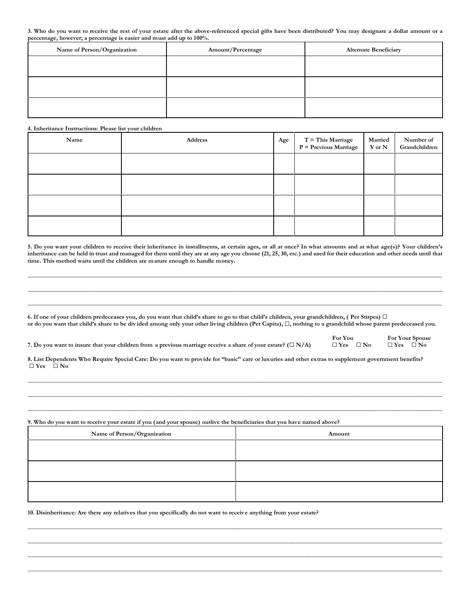**3. Who do you want to receive the rest of your estate after the above-referenced special gifts have been distributed? You may designate a dollar amount or a percentage, however; a percentage is easier and must add up to 100%.**

| Name of Person/Organization | Amount/Percentage | <b>Alternate Beneficiary</b> |
|-----------------------------|-------------------|------------------------------|
|                             |                   |                              |
|                             |                   |                              |
|                             |                   |                              |
|                             |                   |                              |
|                             |                   |                              |
|                             |                   |                              |

#### **4. Inheritance Instructions: Please list your children**

| Name | Address | Age | T = This Marriage<br>P = Previous Marriage | Married<br>$\mathbf Y$ or $\mathbf N$ | Number of<br>Grandchildren |
|------|---------|-----|--------------------------------------------|---------------------------------------|----------------------------|
|      |         |     |                                            |                                       |                            |
|      |         |     |                                            |                                       |                            |
|      |         |     |                                            |                                       |                            |
|      |         |     |                                            |                                       |                            |

**5. Do you want your children to receive their inheritance in installments, at certain ages, or all at once? In what amounts and at what age(s)? Your children's inheritance can be held in trust and managed for them until they are at any age you choose (21, 25, 30, etc.) and used for their education and other needs until that time. This method waits until the children are mature enough to handle money.**

**\_\_\_\_\_\_\_\_\_\_\_\_\_\_\_\_\_\_\_\_\_\_\_\_\_\_\_\_\_\_\_\_\_\_\_\_\_\_\_\_\_\_\_\_\_\_\_\_\_\_\_\_\_\_\_\_\_\_\_\_\_\_\_\_\_\_\_\_\_\_\_\_\_\_\_\_\_\_\_\_\_\_\_\_\_\_\_\_\_\_\_\_\_\_\_\_\_\_\_\_\_\_\_\_\_\_\_\_\_\_\_\_\_\_\_\_\_\_\_\_\_\_\_\_\_\_\_\_\_\_\_\_\_ \_\_\_\_\_\_\_\_\_\_\_\_\_\_\_\_\_\_\_\_\_\_\_\_\_\_\_\_\_\_\_\_\_\_\_\_\_\_\_\_\_\_\_\_\_\_\_\_\_\_\_\_\_\_\_\_\_\_\_\_\_\_\_\_\_\_\_\_\_\_\_\_\_\_\_\_\_\_\_\_\_\_\_\_\_\_\_\_\_\_\_\_\_\_\_\_\_\_\_\_\_\_\_\_\_\_\_\_\_\_\_\_\_\_\_\_\_\_\_\_\_\_\_\_\_\_\_\_\_\_\_\_\_ \_\_\_\_\_\_\_\_\_\_\_\_\_\_\_\_\_\_\_\_\_\_\_\_\_\_\_\_\_\_\_\_\_\_\_\_\_\_\_\_\_\_\_\_\_\_\_\_\_\_\_\_\_\_\_\_\_\_\_\_\_\_\_\_\_\_\_\_\_\_\_\_\_\_\_\_\_\_\_\_\_\_\_\_\_\_\_\_\_\_\_\_\_\_\_\_\_\_\_\_\_\_\_\_\_\_\_\_\_\_\_\_\_\_\_\_\_\_\_\_\_\_\_\_\_\_\_\_\_\_\_\_\_**

**6. If one of your children predeceases you, do you want that child's share to go to that child's children, your grandchildren, ( Per Stirpes)** G **or do you want that child's share to be div ided among only your other living children (Per Capita),** G**, nothing to a grandchild whose parent predeceased you.**

**7. Do you want to insure that your children from a previous marriage receive a share of your estate?**  $(\Box N/A)$ 

**For You For Your Spouse**<br>
□ **Yes** □ **No** □ **Yes** □ **No** 

**8. List Dependents Who Require Special Care: Do you want to provide for "basic" care or luxuries and other extras to supplement government benefits?** G **Yes** G **No**

**\_\_\_\_\_\_\_\_\_\_\_\_\_\_\_\_\_\_\_\_\_\_\_\_\_\_\_\_\_\_\_\_\_\_\_\_\_\_\_\_\_\_\_\_\_\_\_\_\_\_\_\_\_\_\_\_\_\_\_\_\_\_\_\_\_\_\_\_\_\_\_\_\_\_\_\_\_\_\_\_\_\_\_\_\_\_\_\_\_\_\_\_\_\_\_\_\_\_\_\_\_\_\_\_\_\_\_\_\_\_\_\_\_\_\_\_\_\_\_\_\_\_\_\_\_\_\_\_\_\_\_\_\_ \_\_\_\_\_\_\_\_\_\_\_\_\_\_\_\_\_\_\_\_\_\_\_\_\_\_\_\_\_\_\_\_\_\_\_\_\_\_\_\_\_\_\_\_\_\_\_\_\_\_\_\_\_\_\_\_\_\_\_\_\_\_\_\_\_\_\_\_\_\_\_\_\_\_\_\_\_\_\_\_\_\_\_\_\_\_\_\_\_\_\_\_\_\_\_\_\_\_\_\_\_\_\_\_\_\_\_\_\_\_\_\_\_\_\_\_\_\_\_\_\_\_\_\_\_\_\_\_\_\_\_\_\_ \_\_\_\_\_\_\_\_\_\_\_\_\_\_\_\_\_\_\_\_\_\_\_\_\_\_\_\_\_\_\_\_\_\_\_\_\_\_\_\_\_\_\_\_\_\_\_\_\_\_\_\_\_\_\_\_\_\_\_\_\_\_\_\_\_\_\_\_\_\_\_\_\_\_\_\_\_\_\_\_\_\_\_\_\_\_\_\_\_\_\_\_\_\_\_\_\_\_\_\_\_\_\_\_\_\_\_\_\_\_\_\_\_\_\_\_\_\_\_\_\_\_\_\_\_\_\_\_\_\_\_\_\_\_**

**9. Who do you want to receive your estate if you (and your spouse) outlive the beneficiaries that you have named above?**

| Name of Person/Organization | Amount |
|-----------------------------|--------|
|                             |        |
|                             |        |
|                             |        |
|                             |        |
|                             |        |

**\_\_\_\_\_\_\_\_\_\_\_\_\_\_\_\_\_\_\_\_\_\_\_\_\_\_\_\_\_\_\_\_\_\_\_\_\_\_\_\_\_\_\_\_\_\_\_\_\_\_\_\_\_\_\_\_\_\_\_\_\_\_\_\_\_\_\_\_\_\_\_\_\_\_\_\_\_\_\_\_\_\_\_\_\_\_\_\_\_\_\_\_\_\_\_\_\_\_\_\_\_\_\_\_\_\_\_\_\_\_\_\_\_\_\_\_\_\_\_\_\_\_\_\_\_\_\_\_\_\_\_\_\_ \_\_\_\_\_\_\_\_\_\_\_\_\_\_\_\_\_\_\_\_\_\_\_\_\_\_\_\_\_\_\_\_\_\_\_\_\_\_\_\_\_\_\_\_\_\_\_\_\_\_\_\_\_\_\_\_\_\_\_\_\_\_\_\_\_\_\_\_\_\_\_\_\_\_\_\_\_\_\_\_\_\_\_\_\_\_\_\_\_\_\_\_\_\_\_\_\_\_\_\_\_\_\_\_\_\_\_\_\_\_\_\_\_\_\_\_\_\_\_\_\_\_\_\_\_\_\_\_\_\_\_\_\_ \_\_\_\_\_\_\_\_\_\_\_\_\_\_\_\_\_\_\_\_\_\_\_\_\_\_\_\_\_\_\_\_\_\_\_\_\_\_\_\_\_\_\_\_\_\_\_\_\_\_\_\_\_\_\_\_\_\_\_\_\_\_\_\_\_\_\_\_\_\_\_\_\_\_\_\_\_\_\_\_\_\_\_\_\_\_\_\_\_\_\_\_\_\_\_\_\_\_\_\_\_\_\_\_\_\_\_\_\_\_\_\_\_\_\_\_\_\_\_\_\_\_\_\_\_\_\_\_\_\_\_\_\_\_ \_\_\_\_\_\_\_\_\_\_\_\_\_\_\_\_\_\_\_\_\_\_\_\_\_\_\_\_\_\_\_\_\_\_\_\_\_\_\_\_\_\_\_\_\_\_\_\_\_\_\_\_\_\_\_\_\_\_\_\_\_\_\_\_\_\_\_\_\_\_\_\_\_\_\_\_\_\_\_\_\_\_\_\_\_\_\_\_\_\_\_\_\_\_\_\_\_\_\_\_\_\_\_\_\_\_\_\_\_\_\_\_\_\_\_\_\_\_\_\_\_\_\_\_\_\_\_\_\_\_\_\_\_**

**10. Disinheritance: Are there any relatives that you specifically do not want to receive anything from your estate?**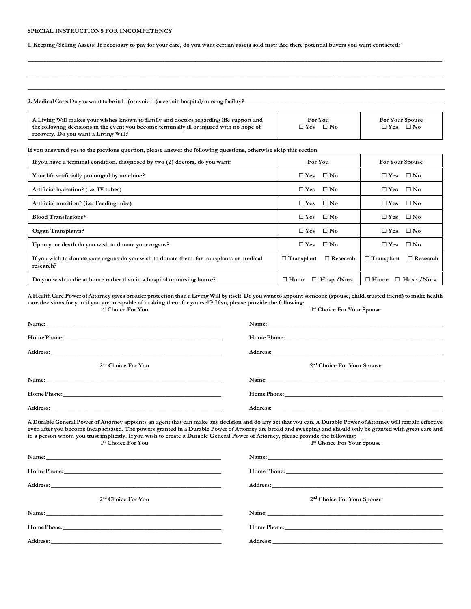#### **SPECIAL INSTRUCTIONS FOR INCOMPETENCY**

**1. Keeping/Selling Assets: If necessary to pay for your care, do you want certain assets sold first? Are there potential buyers you want contacted?**

#### 2. Medical Care: Do you want to be in  $\Box$  (or avoid  $\Box$ ) a certain hospital/nursing facility?

| A Living Will makes your wishes known to family and doctors regarding life support and    | For You              | <b>For Your Spouse</b>     |
|-------------------------------------------------------------------------------------------|----------------------|----------------------------|
| the following decisions in the event you become terminally ill or injured with no hope of | $\Box$ Yes $\Box$ No | $\Box$ No<br>$\square$ Yes |
| recovery. Do you want a Living Will?                                                      |                      |                            |

**\_\_\_\_\_\_\_\_\_\_\_\_\_\_\_\_\_\_\_\_\_\_\_\_\_\_\_\_\_\_\_\_\_\_\_\_\_\_\_\_\_\_\_\_\_\_\_\_\_\_\_\_\_\_\_\_\_\_\_\_\_\_\_\_\_\_\_\_\_\_\_\_\_\_\_\_\_\_\_\_\_\_\_\_\_\_\_\_\_\_\_\_\_\_\_\_\_\_\_\_\_\_\_\_\_\_\_\_\_\_\_\_\_\_\_\_\_\_\_\_\_\_\_\_\_\_\_\_\_\_\_\_\_ \_\_\_\_\_\_\_\_\_\_\_\_\_\_\_\_\_\_\_\_\_\_\_\_\_\_\_\_\_\_\_\_\_\_\_\_\_\_\_\_\_\_\_\_\_\_\_\_\_\_\_\_\_\_\_\_\_\_\_\_\_\_\_\_\_\_\_\_\_\_\_\_\_\_\_\_\_\_\_\_\_\_\_\_\_\_\_\_\_\_\_\_\_\_\_\_\_\_\_\_\_\_\_\_\_\_\_\_\_\_\_\_\_\_\_\_\_\_\_\_\_\_\_\_\_\_\_\_\_\_\_\_\_\_ \_\_\_\_\_\_\_\_\_\_\_\_\_\_\_\_\_\_\_\_\_\_\_\_\_\_\_\_\_\_\_\_\_\_\_\_\_\_\_\_\_\_\_\_\_\_\_\_\_\_\_\_\_\_\_\_\_\_\_\_\_\_\_\_\_\_\_\_\_\_\_\_\_\_\_\_\_\_\_\_\_\_\_\_\_\_\_\_\_\_\_\_\_\_\_\_\_\_\_\_\_\_\_\_\_\_\_\_\_\_\_\_\_\_\_\_\_\_\_\_\_\_\_\_\_\_\_\_\_\_\_\_\_\_\_\_**

### **If you answered yes to the previous question, please answer the following questions, otherwise sk ip this section**

| If you have a terminal condition, diagnosed by two (2) doctors, do you want:                         | For You                              | <b>For Your Spouse</b>               |
|------------------------------------------------------------------------------------------------------|--------------------------------------|--------------------------------------|
| Your life artificially prolonged by machine?                                                         | $\square$ Yes<br>$\square$ No        | $\square$ Yes<br>$\square$ No        |
| Artificial hydration? (i.e. IV tubes)                                                                | $\square$ Yes<br>$\Box$ No           | $\square$ Yes<br>$\square$ No        |
| Artificial nutrition? (i.e. Feeding tube)                                                            | $\square$ Yes<br>$\square$ No        | $\square$ Yes<br>$\square$ No        |
| <b>Blood Transfusions?</b>                                                                           | $\square$ Yes<br>$\Box$ No           | $\square$ Yes<br>$\square$ No        |
| Organ Transplants?                                                                                   | $\Box$ No<br>$\square$ Yes           | $\square$ Yes<br>$\Box$ No           |
| Upon your death do you wish to donate your organs?                                                   | $\square$ Yes<br>$\Box$ No           | $\square$ Yes<br>$\Box$ No           |
| If you wish to donate your organs do you wish to donate them for transplants or medical<br>research? | $\Box$ Research<br>$\Box$ Transplant | $\Box$ Research<br>$\Box$ Transplant |
| Do you wish to die at home rather than in a hospital or nursing home?                                | $\Box$ Hosp./Nurs.<br>$\Box$ Home    | $\Box$ Home<br>$\Box$ Hosp./Nurs.    |

**A Health Care Power of Attorney gives broader protection than a Living Will by itself. Do you want to appoint someone (spouse, child, trusted friend) to make health care decisions for you if you are incapable of making them for yourself? If so, please provide the following: 1 st Choice For You 1 st Choice For Your Spouse**

|                                                                                                                                                                 | Address: and the contract of the contract of the contract of the contract of the contract of the contract of the contract of the contract of the contract of the contract of the contract of the contract of the contract of t |
|-----------------------------------------------------------------------------------------------------------------------------------------------------------------|--------------------------------------------------------------------------------------------------------------------------------------------------------------------------------------------------------------------------------|
| 2 <sup>nd</sup> Choice For You                                                                                                                                  | 2 <sup>nd</sup> Choice For Your Spouse                                                                                                                                                                                         |
|                                                                                                                                                                 |                                                                                                                                                                                                                                |
|                                                                                                                                                                 |                                                                                                                                                                                                                                |
|                                                                                                                                                                 |                                                                                                                                                                                                                                |
| A Durable General Power of Attorney appoints an agent that can make any decision and do any act that you can. A Durable Power of Attorney will remain effective | 1000 - 1000 - 1000 - 1000 - 1000 - 1000 - 1000 - 1000 - 1000 - 1000 - 1000 - 1000 - 1000 - 1000 - 1000 - 1000                                                                                                                  |

**even after you become incapacitated. The powers granted in a Durable Power of Attorney are broad and sweeping and should only be granted with great care and to a person whom you trust implicitly. If you wish to create a Durable General Power of Attorney, please provide the following: 1 st Choice For You 1 st Choice For Your Spouse**

| $2nd$ Choice For You                                                                                                                                                                                                          | 2 <sup>nd</sup> Choice For Your Spouse |
|-------------------------------------------------------------------------------------------------------------------------------------------------------------------------------------------------------------------------------|----------------------------------------|
| Name: Name: Name: Name: Name: Name: Name: Name: Name: Name: Name: Name: Name: Name: Name: Name: Name: Name: Name: Name: Name: Name: Name: Name: Name: Name: Name: Name: Name: Name: Name: Name: Name: Name: Name: Name: Name: |                                        |
|                                                                                                                                                                                                                               |                                        |
| <b>Address:</b><br><u> 1989 - Johann John Stoff, deutscher Stoff und der Stoff und der Stoff und der Stoff und der Stoff und der Stoff</u>                                                                                    |                                        |